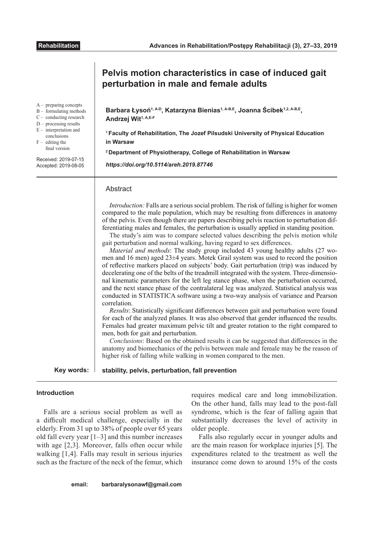|                                                                                                                                                                                                                                                | Pelvis motion characteristics in case of induced gait<br>perturbation in male and female adults                                                                                                                                                                                                                                                                                                                                                                                                                                                                                                                                                                                                                                                                                                                                                                                                                                                                                                                                                                                                                                                                                                                                                                                                                                                                                                                                                                                                                                                                                                                                                                                                                                                                                                                |  |  |  |
|------------------------------------------------------------------------------------------------------------------------------------------------------------------------------------------------------------------------------------------------|----------------------------------------------------------------------------------------------------------------------------------------------------------------------------------------------------------------------------------------------------------------------------------------------------------------------------------------------------------------------------------------------------------------------------------------------------------------------------------------------------------------------------------------------------------------------------------------------------------------------------------------------------------------------------------------------------------------------------------------------------------------------------------------------------------------------------------------------------------------------------------------------------------------------------------------------------------------------------------------------------------------------------------------------------------------------------------------------------------------------------------------------------------------------------------------------------------------------------------------------------------------------------------------------------------------------------------------------------------------------------------------------------------------------------------------------------------------------------------------------------------------------------------------------------------------------------------------------------------------------------------------------------------------------------------------------------------------------------------------------------------------------------------------------------------------|--|--|--|
| $A-$ preparing concepts<br>$B -$ formulating methods<br>$C$ – conducting research<br>$D -$ processing results<br>$E$ – interpretation and<br>conclusions<br>$F -$ editing the<br>final version<br>Received: 2019-07-15<br>Accepted: 2019-08-05 | Barbara Łysoń <sup>1, A-D</sup> , Katarzyna Bienias <sup>1, A-B,E</sup> , Joanna Ścibek <sup>1,2, A-B,E</sup> ,<br>Andrzej Wit <sup>1, A,E-F</sup><br><sup>1</sup> Faculty of Rehabilitation, The Jozef Pilsudski University of Physical Education<br>in Warsaw<br><sup>2</sup> Department of Physiotherapy, College of Rehabilitation in Warsaw<br>https://doi.org/10.5114/areh.2019.87746                                                                                                                                                                                                                                                                                                                                                                                                                                                                                                                                                                                                                                                                                                                                                                                                                                                                                                                                                                                                                                                                                                                                                                                                                                                                                                                                                                                                                    |  |  |  |
|                                                                                                                                                                                                                                                | Abstract<br>Introduction: Falls are a serious social problem. The risk of falling is higher for women<br>compared to the male population, which may be resulting from differences in anatomy<br>of the pelvis. Even though there are papers describing pelvis reaction to perturbation dif-<br>ferentiating males and females, the perturbation is usually applied in standing position.<br>The study's aim was to compare selected values describing the pelvis motion while<br>gait perturbation and normal walking, having regard to sex differences.<br>Material and methods: The study group included 43 young healthy adults (27 wo-<br>men and 16 men) aged 23±4 years. Motek Grail system was used to record the position<br>of reflective markers placed on subjects' body. Gait perturbation (trip) was induced by<br>decelerating one of the belts of the treadmill integrated with the system. Three-dimensio-<br>nal kinematic parameters for the left leg stance phase, when the perturbation occurred,<br>and the next stance phase of the contralateral leg was analyzed. Statistical analysis was<br>conducted in STATISTICA software using a two-way analysis of variance and Pearson<br>correlation.<br><i>Results:</i> Statistically significant differences between gait and perturbation were found<br>for each of the analyzed planes. It was also observed that gender influenced the results.<br>Females had greater maximum pelvic tilt and greater rotation to the right compared to<br>men, both for gait and perturbation.<br>Conclusions: Based on the obtained results it can be suggested that differences in the<br>anatomy and biomechanics of the pelvis between male and female may be the reason of<br>higher risk of falling while walking in women compared to the men. |  |  |  |
| Key words:                                                                                                                                                                                                                                     | stability, pelvis, perturbation, fall prevention                                                                                                                                                                                                                                                                                                                                                                                                                                                                                                                                                                                                                                                                                                                                                                                                                                                                                                                                                                                                                                                                                                                                                                                                                                                                                                                                                                                                                                                                                                                                                                                                                                                                                                                                                               |  |  |  |

# **Introduction**

Falls are a serious social problem as well as a difficult medical challenge, especially in the elderly. From 31 up to 38% of people over 65 years old fall every year [1–3] and this number increases with age [2,3]. Moreover, falls often occur while walking [1,4]. Falls may result in serious injuries such as the fracture of the neck of the femur, which

requires medical care and long immobilization. On the other hand, falls may lead to the post-fall syndrome, which is the fear of falling again that substantially decreases the level of activity in older people.

Falls also regularly occur in younger adults and are the main reason for workplace injuries [5]. The expenditures related to the treatment as well the insurance come down to around 15% of the costs

# **email: barbaralysonawf@gmail.com**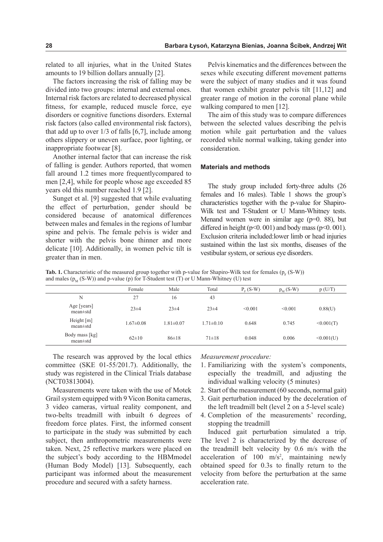related to all injuries, what in the United States amounts to 19 billion dollars annually [2].

The factors increasing the risk of falling may be divided into two groups: internal and external ones. Internal risk factors are related to decreased physical fitness, for example, reduced muscle force, eye disorders or cognitive functions disorders. External risk factors (also called environmental risk factors), that add up to over 1/3 of falls [6,7], include among others slippery or uneven surface, poor lighting, or inappropriate footwear [8].

Another internal factor that can increase the risk of falling is gender. Authors reported, that women fall around 1.2 times more frequentlycompared to men [2,4], while for people whose age exceeded 85 years old this number reached 1.9 [2].

Sunget et al. [9] suggested that while evaluating the effect of perturbation, gender should be considered because of anatomical differences between males and females in the regions of lumbar spine and pelvis. The female pelvis is wider and shorter with the pelvis bone thinner and more delicate [10]. Additionally, in women pelvic tilt is greater than in men.

Pelvis kinematics and the differences between the sexes while executing different movement patterns were the subject of many studies and it was found that women exhibit greater pelvis tilt [11,12] and greater range of motion in the coronal plane while walking compared to men [12].

The aim of this study was to compare differences between the selected values describing the pelvis motion while gait perturbation and the values recorded while normal walking, taking gender into consideration.

# **Materials and methods**

The study group included forty-three adults (26 females and 16 males). Table 1 shows the group's characteristics together with the p-value for Shapiro-Wilk test and T-Student or U Mann-Whitney tests. Menand women were in similar age ( $p=0$ . 88), but differed in height ( $p<0.001$ ) and body mass ( $p<0.001$ ). Exclusion criteria included:lower limb or head injuries sustained within the last six months, diseases of the vestibular system, or serious eye disorders.

**Tab. 1.** Characteristic of the measured group together with p-value for Shapiro-Wilk test for females  $(p_F(S-W))$ and males  $(p_{y}(S-W))$  and p-value (p) for T-Student test (T) or U Mann-Whitney (U) test

| .                                |                 |                 |                 |            |            |           |
|----------------------------------|-----------------|-----------------|-----------------|------------|------------|-----------|
|                                  | Female          | Male            | Total           | $Pv$ (S-W) | $p_M(S-W)$ | p(U/T)    |
| N                                | 27              | 16              | 43              |            |            |           |
| Age [years]<br>$mean \pm std$    | $23 \pm 4$      | $23 + 4$        | $23 + 4$        | < 0.001    | < 0.001    | 0.88(U)   |
| Height $[m]$<br>$mean \pm std$   | $1.67 \pm 0.08$ | $1.81 \pm 0.07$ | $1.71 \pm 0.10$ | 0.648      | 0.745      | <0.001(T) |
| Body mass [kg]<br>$mean \pm std$ | $62\pm10$       | $86 \pm 18$     | $71 \pm 18$     | 0.048      | 0.006      | <0.001(U) |

The research was approved by the local ethics committee (SKE 01-55/201.7). Additionally, the study was registered in the Clinical Trials database (NCT03813004).

Measurements were taken with the use of Motek Grail system equipped with 9 Vicon Bonita cameras, 3 video cameras, virtual reality component, and two-belts treadmill with inbuilt 6 degrees of freedom force plates. First, the informed consent to participate in the study was submitted by each subject, then anthropometric measurements were taken. Next, 25 reflective markers were placed on the subject's body according to the HBMmodel (Human Body Model) [13]. Subsequently, each participant was informed about the measurement procedure and secured with a safety harness.

*Measurement procedure:*

- 1. Familiarizing with the system's components, especially the treadmill, and adjusting the individual walking velocity (5 minutes)
- 2. Start of the measurement (60 seconds, normal gait)
- 3. Gait perturbation induced by the deceleration of the left treadmill belt (level 2 on a 5-level scale)
- 4. Completion of the measurements' recording, stopping the treadmill

Induced gait perturbation simulated a trip. The level 2 is characterized by the decrease of the treadmill belt velocity by 0.6 m/s with the acceleration of  $100 \text{ m/s}^2$ , maintaining newly obtained speed for 0.3s to finally return to the velocity from before the perturbation at the same acceleration rate.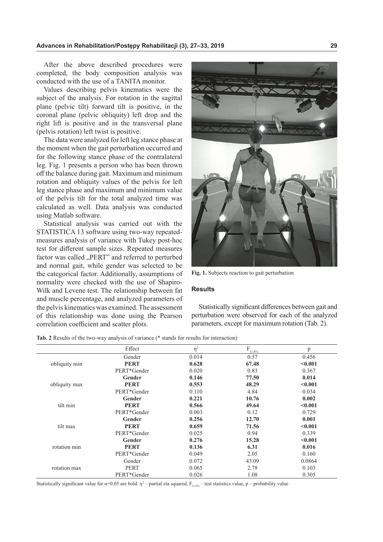After the above described procedures were completed, the body composition analysis was conducted with the use of a TANITA monitor.

Values describing pelvis kinematics were the subject of the analysis. For rotation in the sagittal plane (pelvic tilt) forward tilt is positive, in the coronal plane (pelvic obliquity) left drop and the right lift is positive and in the transversal plane (pelvis rotation) left twist is positive.

The data were analyzed for left leg stance phase at the moment when the gait perturbation occurred and for the following stance phase of the contralateral leg. Fig. 1 presents a person who has been thrown off the balance during gait. Maximum and minimum rotation and obliquity values of the pelvis for left leg stance phase and maximum and minimum value of the pelvis tilt for the total analyzed time was calculated as well. Data analysis was conducted using Matlab software.

Statistical analysis was carried out with the STATISTICA 13 software using two-way repeatedmeasures analysis of variance with Tukey post-hoc test for different sample sizes. Repeated measures factor was called "PERT" and referred to perturbed and normal gait, while gender was selected to be the categorical factor. Additionally, assumptions of normality were checked with the use of Shapiro-Wilk and Levene test. The relationship between fat and muscle percentage, and analyzed parameters of the pelvis kinematics was examined. The assessment of this relationship was done using the Pearson correlation coefficient and scatter plots.



**Fig. 1.** Subjects reaction to gait perturbation

## **Results**

Statistically significant differences between gait and perturbation were observed for each of the analyzed parameters, except for maximum rotation (Tab. 2).

|               | Effect      | $\eta^2$ | $\mathrm{F}_{(\underline{1,41})}$ | p       |
|---------------|-------------|----------|-----------------------------------|---------|
|               | Gender      | 0.014    | 0.57                              | 0.456   |
| obliquity min | <b>PERT</b> | 0.628    | 67.48                             | < 0.001 |
|               | PERT*Gender | 0.020    | 0.83                              | 0.367   |
|               | Gender      | 0.146    | 77.50                             | 0.014   |
| obliquity max | <b>PERT</b> | 0.553    | 48.29                             | < 0.001 |
|               | PERT*Gender | 0.110    | 4.84                              | 0.034   |
| tilt min      | Gender      | 0.221    | 10.76                             | 0.002   |
|               | <b>PERT</b> | 0.566    | 49.64                             | < 0.001 |
|               | PERT*Gender | 0.003    | 0.12                              | 0.729   |
|               | Gender      | 0.256    | 12.70                             | 0.001   |
| tilt max      | <b>PERT</b> | 0.659    | 71.56                             | < 0.001 |
|               | PERT*Gender | 0.025    | 0.94                              | 0.339   |
| rotation min  | Gender      | 0.276    | 15.28                             | < 0.001 |
|               | <b>PERT</b> | 0.136    | 6.31                              | 0.016   |
|               | PERT*Gender | 0.049    | 2.05                              | 0.160   |
| rotation max  | Gender      | 0.072    | 43.09                             | 0.0864  |
|               | <b>PERT</b> | 0.065    | 2.78                              | 0.103   |
|               | PERT*Gender | 0.026    | 1.08                              | 0.305   |

**Tab. 2** Results of the two-way analysis of variance (\* stands for results for interaction)

Statistically significant value for  $\alpha$ =0.05 are bold.  $\eta$ <sup>2</sup> – partial eta squared,  $F_{(1,41)}$  – test statistics value, p – probability value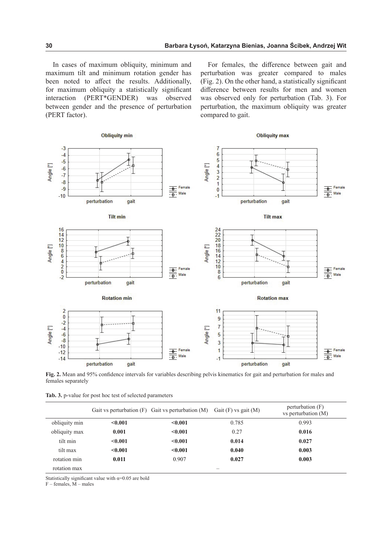In cases of maximum obliquity, minimum and maximum tilt and minimum rotation gender has been noted to affect the results. Additionally, for maximum obliquity a statistically significant interaction (PERT\*GENDER) was observed between gender and the presence of perturbation (PERT factor).

For females, the difference between gait and perturbation was greater compared to males (Fig. 2). On the other hand, a statistically significant difference between results for men and women was observed only for perturbation (Tab. 3). For perturbation, the maximum obliquity was greater compared to gait.



**Fig. 2.** Mean and 95% confidence intervals for variables describing pelvis kinematics for gait and perturbation for males and females separately

|               |         | Gait vs perturbation $(F)$ Gait vs perturbation $(M)$ Gait $(F)$ vs gait $(M)$ |       | perturbation (F)<br>vs perturbation (M) |
|---------------|---------|--------------------------------------------------------------------------------|-------|-----------------------------------------|
| obliquity min | < 0.001 | < 0.001                                                                        | 0.785 | 0.993                                   |
| obliquity max | 0.001   | < 0.001                                                                        | 0.27  | 0.016                                   |
| tilt min      | < 0.001 | < 0.001                                                                        | 0.014 | 0.027                                   |
| tilt max      | $0.001$ | < 0.001                                                                        | 0.040 | 0.003                                   |
| rotation min  | 0.011   | 0.907                                                                          | 0.027 | 0.003                                   |
| rotation max  |         |                                                                                |       |                                         |

Statistically significant value with  $\alpha$ =0.05 are bold

 $F$  – females,  $\overline{M}$  – males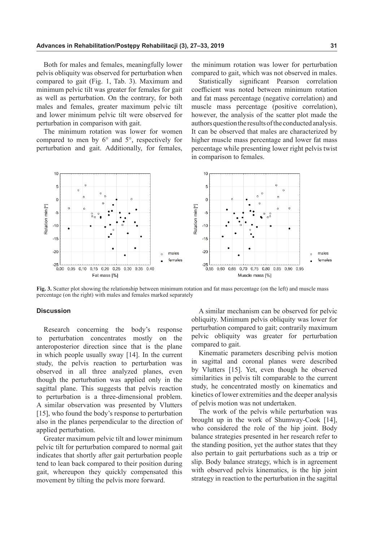Both for males and females, meaningfully lower pelvis obliquity was observed for perturbation when compared to gait (Fig. 1, Tab. 3). Maximum and minimum pelvic tilt was greater for females for gait as well as perturbation. On the contrary, for both males and females, greater maximum pelvic tilt and lower minimum pelvic tilt were observed for perturbation in comparison with gait.

The minimum rotation was lower for women compared to men by 6° and 5°, respectively for perturbation and gait. Additionally, for females,

the minimum rotation was lower for perturbation compared to gait, which was not observed in males.

Statistically significant Pearson correlation coefficient was noted between minimum rotation and fat mass percentage (negative correlation) and muscle mass percentage (positive correlation), however, the analysis of the scatter plot made the authors question the results of the conducted analysis. It can be observed that males are characterized by higher muscle mass percentage and lower fat mass percentage while presenting lower right pelvis twist in comparison to females.



**Fig. 3.** Scatter plot showing the relationship between minimum rotation and fat mass percentage (on the left) and muscle mass percentage (on the right) with males and females marked separately

# **Discussion**

Research concerning the body's response to perturbation concentrates mostly on the anteroposterior direction since that is the plane in which people usually sway [14]. In the current study, the pelvis reaction to perturbation was observed in all three analyzed planes, even though the perturbation was applied only in the sagittal plane. This suggests that pelvis reaction to perturbation is a three-dimensional problem. A similar observation was presented by Vlutters [15], who found the body's response to perturbation also in the planes perpendicular to the direction of applied perturbation.

Greater maximum pelvic tilt and lower minimum pelvic tilt for perturbation compared to normal gait indicates that shortly after gait perturbation people tend to lean back compared to their position during gait, whereupon they quickly compensated this movement by tilting the pelvis more forward.

A similar mechanism can be observed for pelvic obliquity. Minimum pelvis obliquity was lower for perturbation compared to gait; contrarily maximum pelvic obliquity was greater for perturbation compared to gait.

Kinematic parameters describing pelvis motion in sagittal and coronal planes were described by Vlutters [15]. Yet, even though he observed similarities in pelvis tilt comparable to the current study, he concentrated mostly on kinematics and kinetics of lower extremities and the deeper analysis of pelvis motion was not undertaken.

The work of the pelvis while perturbation was brought up in the work of Shumway-Cook [14], who considered the role of the hip joint. Body balance strategies presented in her research refer to the standing position, yet the author states that they also pertain to gait perturbations such as a trip or slip. Body balance strategy, which is in agreement with observed pelvis kinematics, is the hip joint strategy in reaction to the perturbation in the sagittal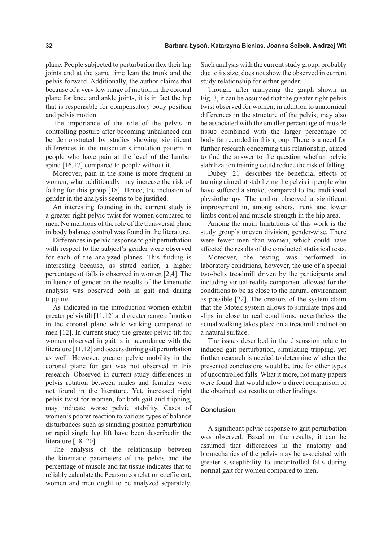plane. People subjected to perturbation flex their hip joints and at the same time lean the trunk and the pelvis forward. Additionally, the author claims that because of a very low range of motion in the coronal plane for knee and ankle joints, it is in fact the hip that is responsible for compensatory body position and pelvis motion.

The importance of the role of the pelvis in controlling posture after becoming unbalanced can be demonstrated by studies showing significant differences in the muscular stimulation pattern in people who have pain at the level of the lumbar spine [16,17] compared to people without it.

Moreover, pain in the spine is more frequent in women, what additionally may increase the risk of falling for this group [18]. Hence, the inclusion of gender in the analysis seems to be justified.

An interesting founding in the current study is a greater right pelvic twist for women compared to men. No mentions of the role of the transversal plane in body balance control was found in the literature.

Differences in pelvic response to gait perturbation with respect to the subject's gender were observed for each of the analyzed planes. This finding is interesting because, as stated earlier, a higher percentage of falls is observed in women [2,4]. The influence of gender on the results of the kinematic analysis was observed both in gait and during tripping.

As indicated in the introduction women exhibit greater pelvis tilt [11,12] and greater range of motion in the coronal plane while walking compared to men [12]. In current study the greater pelvic tilt for women observed in gait is in accordance with the literature [11,12] and occurs during gait perturbation as well. However, greater pelvic mobility in the coronal plane for gait was not observed in this research. Observed in current study differences in pelvis rotation between males and females were not found in the literature. Yet, increased right pelvis twist for women, for both gait and tripping, may indicate worse pelvic stability. Cases of women's poorer reaction to various types of balance disturbances such as standing position perturbation or rapid single leg lift have been describedin the literature [18–20].

The analysis of the relationship between the kinematic parameters of the pelvis and the percentage of muscle and fat tissue indicates that to reliably calculate the Pearson correlation coefficient, women and men ought to be analyzed separately. Such analysis with the current study group, probably due to its size, does not show the observed in current study relationship for either gender.

Though, after analyzing the graph shown in Fig. 3, it can be assumed that the greater right pelvis twist observed for women, in addition to anatomical differences in the structure of the pelvis, may also be associated with the smaller percentage of muscle tissue combined with the larger percentage of body fat recorded in this group. There is a need for further research concerning this relationship, aimed to find the answer to the question whether pelvic stabilization training could reduce the risk of falling.

Dubey [21] describes the beneficial effects of training aimed at stabilizing the pelvis in people who have suffered a stroke, compared to the traditional physiotherapy. The author observed a significant improvement in, among others, trunk and lower limbs control and muscle strength in the hip area.

Among the main limitations of this work is the study group's uneven division, gender-wise. There were fewer men than women, which could have affected the results of the conducted statistical tests.

Moreover, the testing was performed in laboratory conditions, however, the use of a special two-belts treadmill driven by the participants and including virtual reality component allowed for the conditions to be as close to the natural environment as possible [22]. The creators of the system claim that the Motek system allows to simulate trips and slips in close to real conditions, nevertheless the actual walking takes place on a treadmill and not on a natural surface.

The issues described in the discussion relate to induced gait perturbation, simulating tripping, yet further research is needed to determine whether the presented conclusions would be true for other types of uncontrolled falls. What it more, not many papers were found that would allow a direct comparison of the obtained test results to other findings.

#### **Conclusion**

A significant pelvic response to gait perturbation was observed. Based on the results, it can be assumed that differences in the anatomy and biomechanics of the pelvis may be associated with greater susceptibility to uncontrolled falls during normal gait for women compared to men.